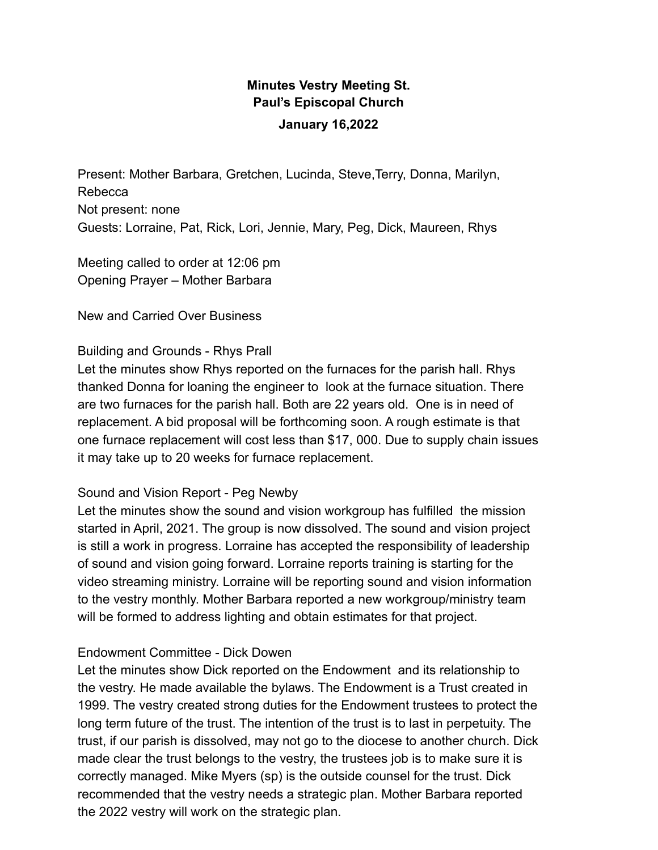## **Minutes Vestry Meeting St. Paul's Episcopal Church January 16,2022**

Present: Mother Barbara, Gretchen, Lucinda, Steve,Terry, Donna, Marilyn, Rebecca Not present: none Guests: Lorraine, Pat, Rick, Lori, Jennie, Mary, Peg, Dick, Maureen, Rhys

Meeting called to order at 12:06 pm Opening Prayer – Mother Barbara

New and Carried Over Business

## Building and Grounds - Rhys Prall

Let the minutes show Rhys reported on the furnaces for the parish hall. Rhys thanked Donna for loaning the engineer to look at the furnace situation. There are two furnaces for the parish hall. Both are 22 years old. One is in need of replacement. A bid proposal will be forthcoming soon. A rough estimate is that one furnace replacement will cost less than \$17, 000. Due to supply chain issues it may take up to 20 weeks for furnace replacement.

## Sound and Vision Report - Peg Newby

Let the minutes show the sound and vision workgroup has fulfilled the mission started in April, 2021. The group is now dissolved. The sound and vision project is still a work in progress. Lorraine has accepted the responsibility of leadership of sound and vision going forward. Lorraine reports training is starting for the video streaming ministry. Lorraine will be reporting sound and vision information to the vestry monthly. Mother Barbara reported a new workgroup/ministry team will be formed to address lighting and obtain estimates for that project.

## Endowment Committee - Dick Dowen

Let the minutes show Dick reported on the Endowment and its relationship to the vestry. He made available the bylaws. The Endowment is a Trust created in 1999. The vestry created strong duties for the Endowment trustees to protect the long term future of the trust. The intention of the trust is to last in perpetuity. The trust, if our parish is dissolved, may not go to the diocese to another church. Dick made clear the trust belongs to the vestry, the trustees job is to make sure it is correctly managed. Mike Myers (sp) is the outside counsel for the trust. Dick recommended that the vestry needs a strategic plan. Mother Barbara reported the 2022 vestry will work on the strategic plan.